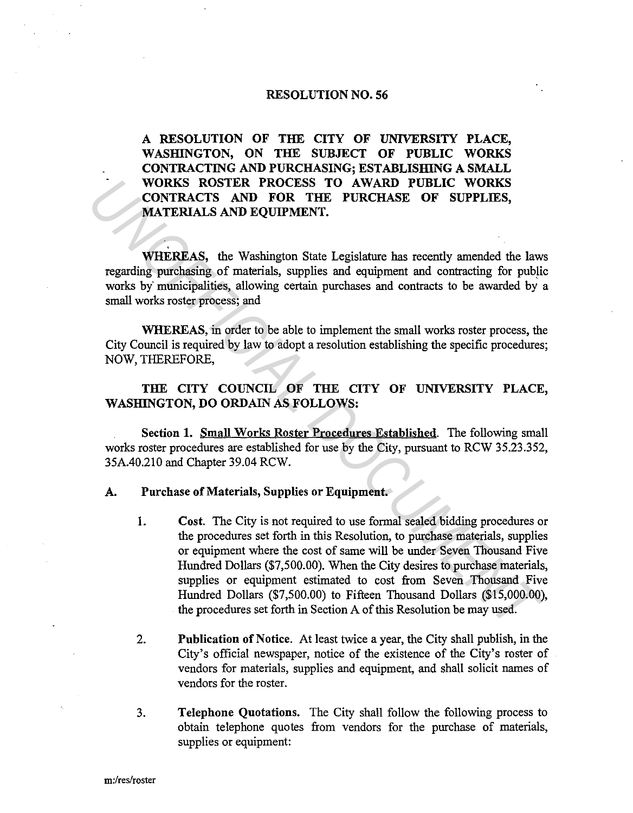## **RESOLUTION NO. 56**

**A RESOLUTION OF THE CITY OF UNIVERSITY PLACE,**  WASHINGTON, ON THE SUBJECT OF PUBLIC WORKS **CONTRACTING AND PURCHASING; ESTABLISHING A SMALL** WORKS ROSTER PROCESS TO AWARD PUBLIC WORKS **CONTRACTS AND FOR THE PURCHASE OF SUPPLIES, MATERIALS AND EQUIPMENT.** 

**WHEREAS,** the Washington State Legislature has recently amended the laws regarding purchasing of materials, supplies and equipment and contracting for public works by municipalities, allowing certain purchases and contracts to be awarded by a small works roster process; and

**WHEREAS,** in order to be able to implement the small works roster process, the City Council is required by law to adopt a resolution establishing the specific procedures; NOW, THEREFORE,

## **THE CITY COUNCIL OF THE CITY OF UNIVERSITY PLACE, WASIIlNGTON, DO ORDAIN AS FOLLOWS:**

**Section 1. Small Works Roster Procedures Established.** The following small works roster procedures are established for use by the City, pursuant to RCW 35.23.352, 35A.40.210 and Chapter 39.04 RCW.

## **A. Purchase of Materials, Supplies or Equipment.**

- **1. Cost.** The City is not required to use formal sealed bidding procedures or the procedures set forth in this Resolution, to purchase materials, supplies or equipment where the cost of same will be under Seven Thousand Five Hundred Dollars (\$7,500.00). When the City desires to purchase materials, supplies or equipment estimated to cost from Seven Thousand Five Hundred Dollars (\$7,500.00) to Fifteen Thousand Dollars (\$15,000.00), the procedures set forth in Section A of this Resolution be may used. **EXERCISE PROCESS TO AWARD PUBLIC WORKS**<br> **CONTRACTS AND FOR THE PURCHASE OF SUPPLIES,**<br> **MATERIALS AND EQUIPMENT.**<br> **WHEREAS**, the Washington State Legislature has recently amended the law<br>
regarding purchasing of materia
	- 2. **Publication of Notice.** At least twice a year, the City shall publish, in the City's official newspaper, notice of the existence of the City's roster of vendors for materials, supplies and equipment, and shall solicit names of vendors for the roster.
	- 3. **Telephone Quotations.** The City shall follow the following process to obtain telephone quotes from vendors for the purchase of materials, supplies or equipment: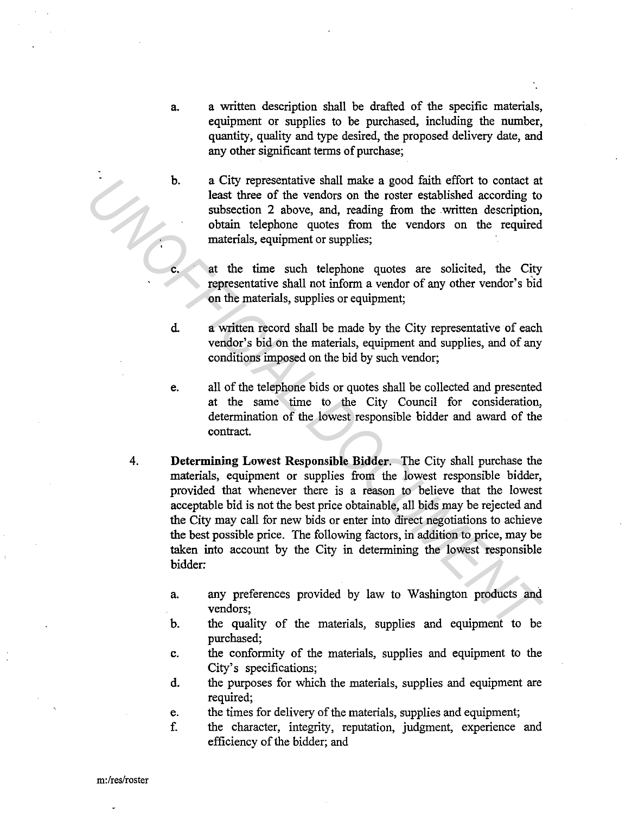- a. a written description shall be drafted of the specific materials, equipment or supplies to be purchased, including the number, quantity, quality and type desired, the proposed delivery date, and any other significant terms of purchase;
- **b.** a City representative shall make a good faith effort to contact at least three of the vendors on the roster established according to subsection 2 above, and, reading from the written description, obtain telephone quotes from the vendors on the required materials, equipment or supplies;
	- at the time such telephone quotes are solicited, the City representative shall not inform a vendor of any other vendor's bid on the materials, supplies or equipment;
- d. a written record shall be made by the City representative of each vendor's bid on the materials, equipment and supplies, and of any conditions imposed on the bid by such vendor;
- e. all of the telephone bids or quotes shall be collected and presented at the same time to the City Council for consideration, determination of the lowest responsible bidder and award of the contract.
- **4. Determining** Lowest Responsible **Bidder.** The City shall purchase the materials, equipment or supplies from the lowest responsible bidder, provided that whenever there is a reason to believe that the lowest acceptable bid is not the best price obtainable, all bids may be rejected and the City may call for new bids or enter into direct negotiations to achieve the best possible price. The following factors, in addition to price, may be taken into account by the City in determining the lowest responsible bidder: **Example 12** and the angolaritie school and the different to contact at easies there of the vendors on the roster established according to subsection 2 above, and, reading from the weitern description, obtain the elephone
	- a. any preferences provided by law to Washington products and vendors;
	- b. the quality of the materials, supplies and equipment to be purchased;
	- c. the conformity of the materials, supplies and equipment to the City's specifications;
	- d. the purposes for which the materials, supplies and equipment are required;
	- e. the times for delivery of the materials, supplies and equipment;
	- f. the character, integrity, reputation, judgment, experience and efficiency of the bidder; and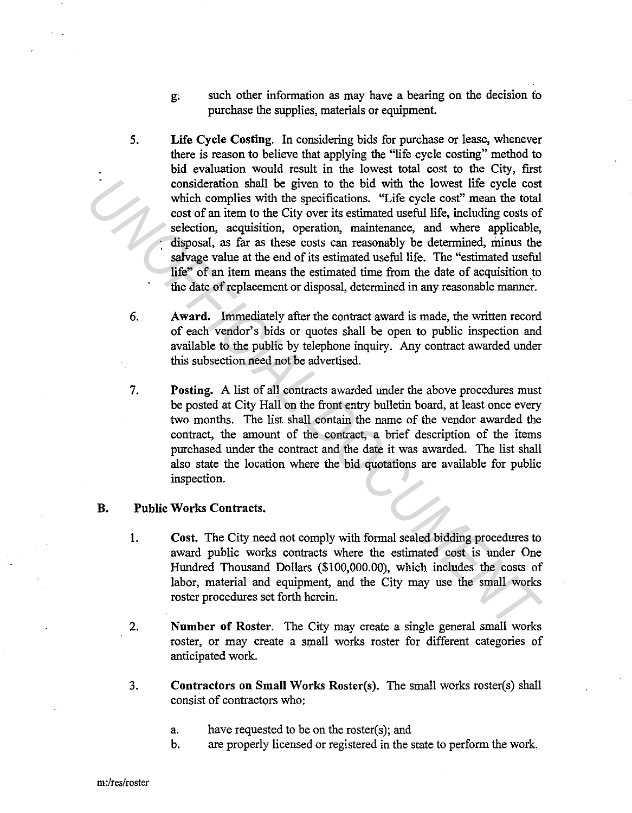- g; such other information as may have a bearing on the decision fo purchase the supplies, materials or equipment.
- 5. Life Cycle Costing. In considering bids for purchase or lease, whenever there is reason to believe that applying the "life cycle costing" method to bid evaluation would result in the lowest total cost to the City, first consideration shall be given to the bid with the lowest life cycle cost which complies with the specifications. "Life cycle cost" mean the total cost of an item to the City over its estimated useful life, including costs of selection, acquisition, operation, maintenance, and where applicable, disposal, as far as these costs can reasonably be determined, minus the salvage value at the end of its estimated useful life. The "estimated useful life" of an item means the estimated time from the date of acquisition to the date of replacement or disposal, determined in any reasonable manner. consideration shall be given to the bid with the lowest life cycle cost<br>which complies with the specifications. "Life cycle cost" mean the total<br>cost of material correlation, operation, accurated useful life, including cos
	- 6. Award. Immediately after the contract award is made, the written record of each vendor's bids or quotes shall be open to public inspection and available to the public by telephone inquiry. Any contract awarded under this subsection need not be advertised.
	- 7. Posting. A list of all contracts awarded under the above procedures must be posted at City Hall on the front entry bulletin board, at least once every two months. The list shall contain the name of the vendor awarded the contract, the amount of the contract, a brief description of the items purchased under the contract and the date it was awarded. The list shall also state the location where the bid quotations are available for public inspection.

## B. Public Works Contracts.

- 1. Cost. The City need not comply with formal sealed bidding procedures to award public works contracts where the estimated cost is under One Hundred Thousand Dollars (\$100,000.00), which includes the costs of labor, material and equipment, and the City may use the small works roster procedures set forth herein.
- 2. Number of Roster. The City may create a single general small works roster, or may create a small works roster for different categories of anticipated work.
- 3. Contractors on Small Works Roster(s). The small works roster(s) shall consist of contractors who:
	- a. have requested to be on the roster(s); and
	- b. are properly licensed or registered in the state to perform the work.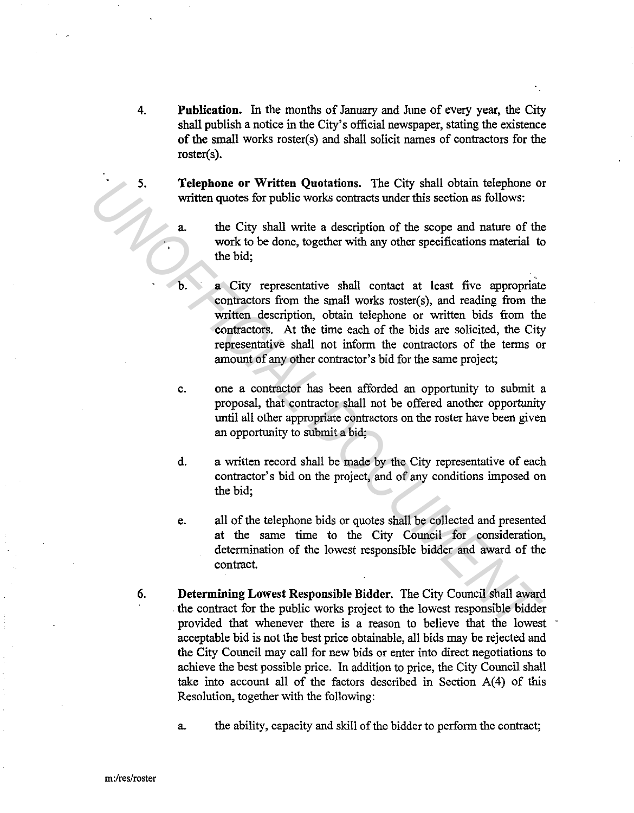- 4. Publication. In the months of January and June of every year, the City shall publish a notice in the City's official newspaper, stating the existence of the small works roster(s) and shall solicit names of contractors for the roster(s).
- 5. Telephone or Written Quotations. The City shall obtain telephone or written quotes for public works contracts under this section as follows:

a. the City shall write a description of the scope and nature of the work to be done, together with any other specifications material to the bid;

- b. a City representative shall contact at least five appropriate contractors from the small works roster(s), and reading from the written description, obtain telephone or written bids from the contractors. At the time each of the bids are solicited, the City representative shall not inform the contractors of the terms or amount of any other contractor's bid for the same project; **Example or Written Quotations.** The City shall obtain telephone or written quotes for public works contracts under this section as follows:<br> **EXECUMENT AND THE CITY SHALL DOCUMENT WAT THE CONDUCT** work to be done, togethe
	- c. one a contractor has been afforded an opportunity to submit a proposal, that contractor shall not be offered another opportunity until all other appropriate contractors on the roster have been given an opportunity to submit a bid;
	- d. a written record shall be made by the City representative of each contractor's bid on the project, and of any conditions imposed on the bid;
	- e. all of the telephone bids or quotes shall be collected and presented at the same time to the City Council for consideration, determination of the lowest responsible bidder and award of the contract.
	- 6. Determining Lowest Responsible Bidder. The City Council shall award . the contract for the public works project to the lowest responsible bidder provided that whenever there is a reason to believe that the lowest acceptable bid is not the best price obtainable, all bids may be rejected and the City Council may call for new bids or enter into direct negotiations to achieve the best possible price. In addition to price, the City Council shall take into account all of the factors described in Section A(4) of this Resolution, together with the following:
		- a. the ability, capacity and skill of the bidder to perform the contract;